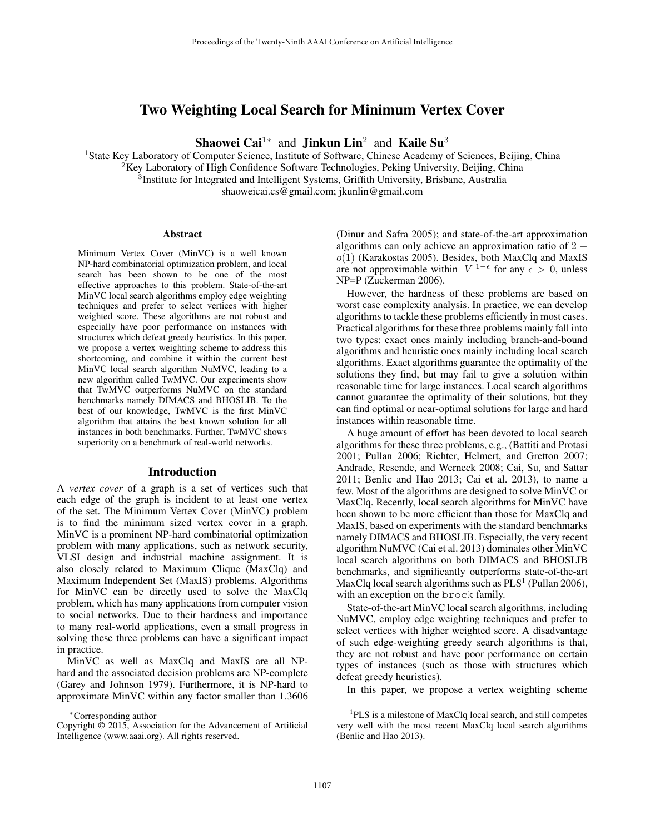# Two Weighting Local Search for Minimum Vertex Cover

Shaowei Cai<sup>1∗</sup> and Jinkun Lin<sup>2</sup> and Kaile Su<sup>3</sup>

<sup>1</sup>State Key Laboratory of Computer Science, Institute of Software, Chinese Academy of Sciences, Beijing, China  ${}^{2}$ Key Laboratory of High Confidence Software Technologies, Peking University, Beijing, China <sup>3</sup>Institute for Integrated and Intelligent Systems, Griffith University, Brisbane, Australia

shaoweicai.cs@gmail.com; jkunlin@gmail.com

#### **Abstract**

Minimum Vertex Cover (MinVC) is a well known NP-hard combinatorial optimization problem, and local search has been shown to be one of the most effective approaches to this problem. State-of-the-art MinVC local search algorithms employ edge weighting techniques and prefer to select vertices with higher weighted score. These algorithms are not robust and especially have poor performance on instances with structures which defeat greedy heuristics. In this paper, we propose a vertex weighting scheme to address this shortcoming, and combine it within the current best MinVC local search algorithm NuMVC, leading to a new algorithm called TwMVC. Our experiments show that TwMVC outperforms NuMVC on the standard benchmarks namely DIMACS and BHOSLIB. To the best of our knowledge, TwMVC is the first MinVC algorithm that attains the best known solution for all instances in both benchmarks. Further, TwMVC shows superiority on a benchmark of real-world networks.

#### Introduction

A *vertex cover* of a graph is a set of vertices such that each edge of the graph is incident to at least one vertex of the set. The Minimum Vertex Cover (MinVC) problem is to find the minimum sized vertex cover in a graph. MinVC is a prominent NP-hard combinatorial optimization problem with many applications, such as network security, VLSI design and industrial machine assignment. It is also closely related to Maximum Clique (MaxClq) and Maximum Independent Set (MaxIS) problems. Algorithms for MinVC can be directly used to solve the MaxClq problem, which has many applications from computer vision to social networks. Due to their hardness and importance to many real-world applications, even a small progress in solving these three problems can have a significant impact in practice.

MinVC as well as MaxClq and MaxIS are all NPhard and the associated decision problems are NP-complete (Garey and Johnson 1979). Furthermore, it is NP-hard to approximate MinVC within any factor smaller than 1.3606 (Dinur and Safra 2005); and state-of-the-art approximation algorithms can only achieve an approximation ratio of 2 −  $o(1)$  (Karakostas 2005). Besides, both MaxClq and MaxIS are not approximable within  $|V|^{1-\epsilon}$  for any  $\epsilon > 0$ , unless NP=P (Zuckerman 2006).

However, the hardness of these problems are based on worst case complexity analysis. In practice, we can develop algorithms to tackle these problems efficiently in most cases. Practical algorithms for these three problems mainly fall into two types: exact ones mainly including branch-and-bound algorithms and heuristic ones mainly including local search algorithms. Exact algorithms guarantee the optimality of the solutions they find, but may fail to give a solution within reasonable time for large instances. Local search algorithms cannot guarantee the optimality of their solutions, but they can find optimal or near-optimal solutions for large and hard instances within reasonable time.

A huge amount of effort has been devoted to local search algorithms for these three problems, e.g., (Battiti and Protasi 2001; Pullan 2006; Richter, Helmert, and Gretton 2007; Andrade, Resende, and Werneck 2008; Cai, Su, and Sattar 2011; Benlic and Hao 2013; Cai et al. 2013), to name a few. Most of the algorithms are designed to solve MinVC or MaxClq. Recently, local search algorithms for MinVC have been shown to be more efficient than those for MaxClq and MaxIS, based on experiments with the standard benchmarks namely DIMACS and BHOSLIB. Especially, the very recent algorithm NuMVC (Cai et al. 2013) dominates other MinVC local search algorithms on both DIMACS and BHOSLIB benchmarks, and significantly outperforms state-of-the-art MaxClq local search algorithms such as  $PLS<sup>1</sup>$  (Pullan 2006), with an exception on the brock family.

State-of-the-art MinVC local search algorithms, including NuMVC, employ edge weighting techniques and prefer to select vertices with higher weighted score. A disadvantage of such edge-weighting greedy search algorithms is that, they are not robust and have poor performance on certain types of instances (such as those with structures which defeat greedy heuristics).

In this paper, we propose a vertex weighting scheme

<sup>∗</sup>Corresponding author

Copyright © 2015, Association for the Advancement of Artificial Intelligence (www.aaai.org). All rights reserved.

<sup>&</sup>lt;sup>1</sup>PLS is a milestone of MaxClq local search, and still competes very well with the most recent MaxClq local search algorithms (Benlic and Hao 2013).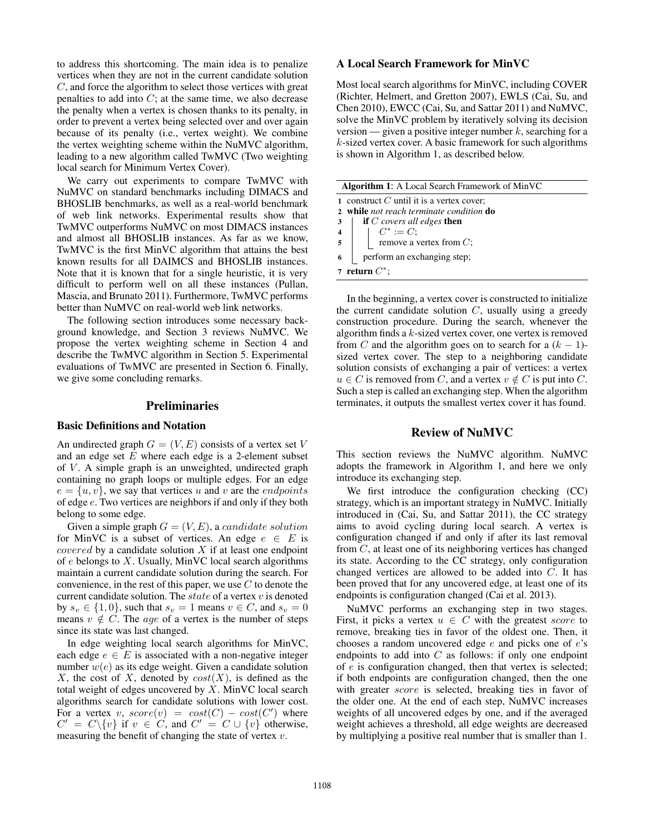to address this shortcoming. The main idea is to penalize vertices when they are not in the current candidate solution C, and force the algorithm to select those vertices with great penalties to add into  $C$ ; at the same time, we also decrease the penalty when a vertex is chosen thanks to its penalty, in order to prevent a vertex being selected over and over again because of its penalty (i.e., vertex weight). We combine the vertex weighting scheme within the NuMVC algorithm, leading to a new algorithm called TwMVC (Two weighting local search for Minimum Vertex Cover).

We carry out experiments to compare TwMVC with NuMVC on standard benchmarks including DIMACS and BHOSLIB benchmarks, as well as a real-world benchmark of web link networks. Experimental results show that TwMVC outperforms NuMVC on most DIMACS instances and almost all BHOSLIB instances. As far as we know, TwMVC is the first MinVC algorithm that attains the best known results for all DAIMCS and BHOSLIB instances. Note that it is known that for a single heuristic, it is very difficult to perform well on all these instances (Pullan, Mascia, and Brunato 2011). Furthermore, TwMVC performs better than NuMVC on real-world web link networks.

The following section introduces some necessary background knowledge, and Section 3 reviews NuMVC. We propose the vertex weighting scheme in Section 4 and describe the TwMVC algorithm in Section 5. Experimental evaluations of TwMVC are presented in Section 6. Finally, we give some concluding remarks.

### Preliminaries

### Basic Definitions and Notation

An undirected graph  $G = (V, E)$  consists of a vertex set V and an edge set  $E$  where each edge is a 2-element subset of  $V$ . A simple graph is an unweighted, undirected graph containing no graph loops or multiple edges. For an edge  $e = \{u, v\}$ , we say that vertices u and v are the *endpoints* of edge e. Two vertices are neighbors if and only if they both belong to some edge.

Given a simple graph  $G = (V, E)$ , a *candidate solution* for MinVC is a subset of vertices. An edge  $e \in E$  is *covered* by a candidate solution  $X$  if at least one endpoint of  $e$  belongs to  $X$ . Usually, MinVC local search algorithms maintain a current candidate solution during the search. For convenience, in the rest of this paper, we use  $C$  to denote the current candidate solution. The  $state$  of a vertex  $v$  is denoted by  $s_v \in \{1, 0\}$ , such that  $s_v = 1$  means  $v \in C$ , and  $s_v = 0$ means  $v \notin C$ . The *age* of a vertex is the number of steps since its state was last changed.

In edge weighting local search algorithms for MinVC, each edge  $e \in E$  is associated with a non-negative integer number  $w(e)$  as its edge weight. Given a candidate solution X, the cost of X, denoted by  $cost(X)$ , is defined as the total weight of edges uncovered by  $X$ . MinVC local search algorithms search for candidate solutions with lower cost. For a vertex v,  $score(v) = cost(C) - cost(C')$  where  $C' = C \setminus \{v\}$  if  $v \in C'$ , and  $C' = C \cup \{v\}$  otherwise, measuring the benefit of changing the state of vertex  $v$ .

# A Local Search Framework for MinVC

Most local search algorithms for MinVC, including COVER (Richter, Helmert, and Gretton 2007), EWLS (Cai, Su, and Chen 2010), EWCC (Cai, Su, and Sattar 2011) and NuMVC, solve the MinVC problem by iteratively solving its decision version — given a positive integer number  $k$ , searching for a k-sized vertex cover. A basic framework for such algorithms is shown in Algorithm 1, as described below.

| <b>Algorithm 1:</b> A Local Search Framework of MinVC |                                                                                                   |  |  |  |  |  |
|-------------------------------------------------------|---------------------------------------------------------------------------------------------------|--|--|--|--|--|
|                                                       | 1 construct $C$ until it is a vertex cover;                                                       |  |  |  |  |  |
|                                                       | 2 while not reach terminate condition do                                                          |  |  |  |  |  |
|                                                       | <b>if</b> C covers all edges <b>then</b><br>$3^{\circ}$                                           |  |  |  |  |  |
|                                                       | 4<br>$\begin{array}{ c c c c } \hline 4 & C^* := C; \ \hline \end{array}$ remove a vertex from C; |  |  |  |  |  |
|                                                       |                                                                                                   |  |  |  |  |  |
| 6                                                     | perform an exchanging step;                                                                       |  |  |  |  |  |
| 7 return $C^*$ ;                                      |                                                                                                   |  |  |  |  |  |

In the beginning, a vertex cover is constructed to initialize the current candidate solution  $C$ , usually using a greedy construction procedure. During the search, whenever the algorithm finds a  $k$ -sized vertex cover, one vertex is removed from C and the algorithm goes on to search for a  $(k - 1)$ sized vertex cover. The step to a neighboring candidate solution consists of exchanging a pair of vertices: a vertex  $u \in C$  is removed from C, and a vertex  $v \notin C$  is put into C. Such a step is called an exchanging step. When the algorithm terminates, it outputs the smallest vertex cover it has found.

### Review of NuMVC

This section reviews the NuMVC algorithm. NuMVC adopts the framework in Algorithm 1, and here we only introduce its exchanging step.

We first introduce the configuration checking (CC) strategy, which is an important strategy in NuMVC. Initially introduced in (Cai, Su, and Sattar 2011), the CC strategy aims to avoid cycling during local search. A vertex is configuration changed if and only if after its last removal from C, at least one of its neighboring vertices has changed its state. According to the CC strategy, only configuration changed vertices are allowed to be added into C. It has been proved that for any uncovered edge, at least one of its endpoints is configuration changed (Cai et al. 2013).

NuMVC performs an exchanging step in two stages. First, it picks a vertex  $u \in C$  with the greatest score to remove, breaking ties in favor of the oldest one. Then, it chooses a random uncovered edge e and picks one of e's endpoints to add into  $C$  as follows: if only one endpoint of e is configuration changed, then that vertex is selected; if both endpoints are configuration changed, then the one with greater *score* is selected, breaking ties in favor of the older one. At the end of each step, NuMVC increases weights of all uncovered edges by one, and if the averaged weight achieves a threshold, all edge weights are decreased by multiplying a positive real number that is smaller than 1.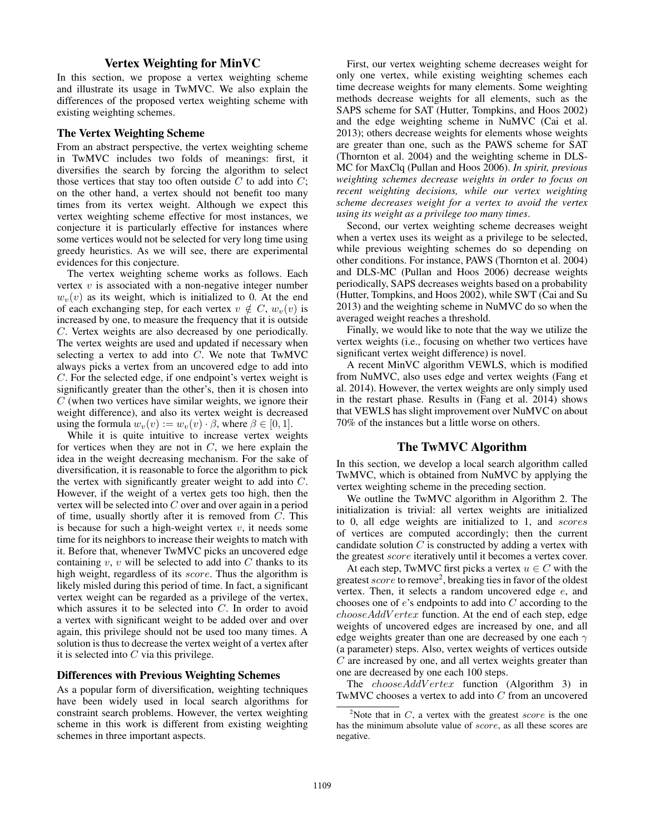### Vertex Weighting for MinVC

In this section, we propose a vertex weighting scheme and illustrate its usage in TwMVC. We also explain the differences of the proposed vertex weighting scheme with existing weighting schemes.

#### The Vertex Weighting Scheme

From an abstract perspective, the vertex weighting scheme in TwMVC includes two folds of meanings: first, it diversifies the search by forcing the algorithm to select those vertices that stay too often outside  $C$  to add into  $C$ ; on the other hand, a vertex should not benefit too many times from its vertex weight. Although we expect this vertex weighting scheme effective for most instances, we conjecture it is particularly effective for instances where some vertices would not be selected for very long time using greedy heuristics. As we will see, there are experimental evidences for this conjecture.

The vertex weighting scheme works as follows. Each vertex  $v$  is associated with a non-negative integer number  $w<sub>v</sub>(v)$  as its weight, which is initialized to 0. At the end of each exchanging step, for each vertex  $v \notin C$ ,  $w_v(v)$  is increased by one, to measure the frequency that it is outside C. Vertex weights are also decreased by one periodically. The vertex weights are used and updated if necessary when selecting a vertex to add into  $C$ . We note that TwMVC always picks a vertex from an uncovered edge to add into C. For the selected edge, if one endpoint's vertex weight is significantly greater than the other's, then it is chosen into  $C$  (when two vertices have similar weights, we ignore their weight difference), and also its vertex weight is decreased using the formula  $w_v(v) := w_v(v) \cdot \beta$ , where  $\beta \in [0, 1]$ .

While it is quite intuitive to increase vertex weights for vertices when they are not in  $C$ , we here explain the idea in the weight decreasing mechanism. For the sake of diversification, it is reasonable to force the algorithm to pick the vertex with significantly greater weight to add into C. However, if the weight of a vertex gets too high, then the vertex will be selected into C over and over again in a period of time, usually shortly after it is removed from  $C$ . This is because for such a high-weight vertex  $v$ , it needs some time for its neighbors to increase their weights to match with it. Before that, whenever TwMVC picks an uncovered edge containing  $v, v$  will be selected to add into  $C$  thanks to its high weight, regardless of its score. Thus the algorithm is likely misled during this period of time. In fact, a significant vertex weight can be regarded as a privilege of the vertex, which assures it to be selected into C. In order to avoid a vertex with significant weight to be added over and over again, this privilege should not be used too many times. A solution is thus to decrease the vertex weight of a vertex after it is selected into  $C$  via this privilege.

### Differences with Previous Weighting Schemes

As a popular form of diversification, weighting techniques have been widely used in local search algorithms for constraint search problems. However, the vertex weighting scheme in this work is different from existing weighting schemes in three important aspects.

First, our vertex weighting scheme decreases weight for only one vertex, while existing weighting schemes each time decrease weights for many elements. Some weighting methods decrease weights for all elements, such as the SAPS scheme for SAT (Hutter, Tompkins, and Hoos 2002) and the edge weighting scheme in NuMVC (Cai et al. 2013); others decrease weights for elements whose weights are greater than one, such as the PAWS scheme for SAT (Thornton et al. 2004) and the weighting scheme in DLS-MC for MaxClq (Pullan and Hoos 2006). *In spirit, previous weighting schemes decrease weights in order to focus on recent weighting decisions, while our vertex weighting scheme decreases weight for a vertex to avoid the vertex using its weight as a privilege too many times*.

Second, our vertex weighting scheme decreases weight when a vertex uses its weight as a privilege to be selected, while previous weighting schemes do so depending on other conditions. For instance, PAWS (Thornton et al. 2004) and DLS-MC (Pullan and Hoos 2006) decrease weights periodically, SAPS decreases weights based on a probability (Hutter, Tompkins, and Hoos 2002), while SWT (Cai and Su 2013) and the weighting scheme in NuMVC do so when the averaged weight reaches a threshold.

Finally, we would like to note that the way we utilize the vertex weights (i.e., focusing on whether two vertices have significant vertex weight difference) is novel.

A recent MinVC algorithm VEWLS, which is modified from NuMVC, also uses edge and vertex weights (Fang et al. 2014). However, the vertex weights are only simply used in the restart phase. Results in (Fang et al. 2014) shows that VEWLS has slight improvement over NuMVC on about 70% of the instances but a little worse on others.

### The TwMVC Algorithm

In this section, we develop a local search algorithm called TwMVC, which is obtained from NuMVC by applying the vertex weighting scheme in the preceding section.

We outline the TwMVC algorithm in Algorithm 2. The initialization is trivial: all vertex weights are initialized to 0, all edge weights are initialized to 1, and scores of vertices are computed accordingly; then the current candidate solution  $C$  is constructed by adding a vertex with the greatest score iteratively until it becomes a vertex cover.

At each step, TwMVC first picks a vertex  $u \in C$  with the greatest score to remove<sup>2</sup>, breaking ties in favor of the oldest vertex. Then, it selects a random uncovered edge e, and chooses one of e's endpoints to add into C according to the  $chooseAddVertex$  function. At the end of each step, edge weights of uncovered edges are increased by one, and all edge weights greater than one are decreased by one each  $\gamma$ (a parameter) steps. Also, vertex weights of vertices outside  $C$  are increased by one, and all vertex weights greater than one are decreased by one each 100 steps.

The *chooseAddVertex* function (Algorithm 3) in TwMVC chooses a vertex to add into C from an uncovered

<sup>&</sup>lt;sup>2</sup>Note that in C, a vertex with the greatest *score* is the one has the minimum absolute value of score, as all these scores are negative.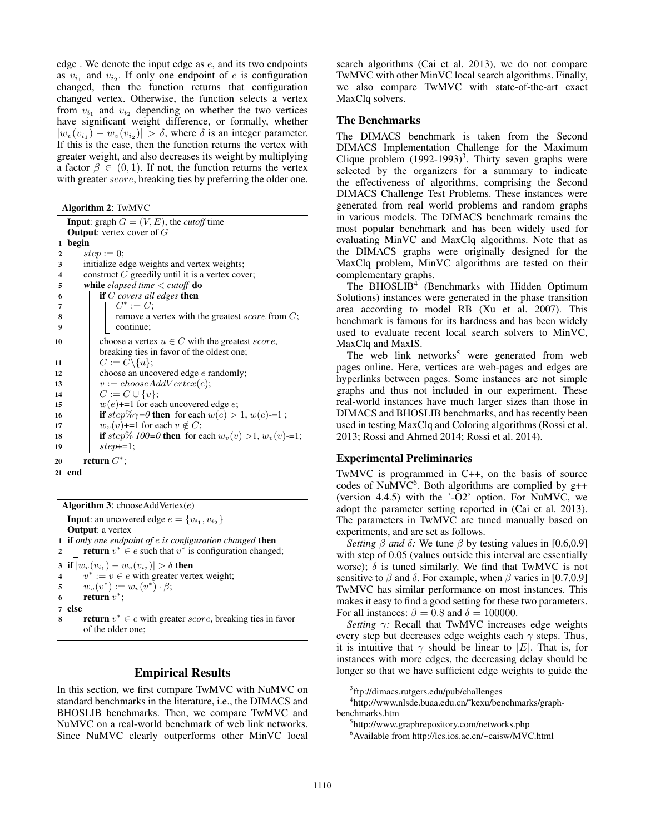edge. We denote the input edge as  $e$ , and its two endpoints as  $v_{i_1}$  and  $v_{i_2}$ . If only one endpoint of e is configuration changed, then the function returns that configuration changed vertex. Otherwise, the function selects a vertex from  $v_{i_1}$  and  $v_{i_2}$  depending on whether the two vertices have significant weight difference, or formally, whether  $|w_v(v_{i_1}) - w_v(v_{i_2})| > \delta$ , where  $\delta$  is an integer parameter. If this is the case, then the function returns the vertex with greater weight, and also decreases its weight by multiplying a factor  $\beta \in (0, 1)$ . If not, the function returns the vertex with greater *score*, breaking ties by preferring the older one.

Algorithm 2: TwMVC

|                         | <b>Input:</b> graph $G = (V, E)$ , the <i>cutoff</i> time    |  |  |  |  |  |  |  |
|-------------------------|--------------------------------------------------------------|--|--|--|--|--|--|--|
|                         | <b>Output:</b> vertex cover of $G$                           |  |  |  |  |  |  |  |
| 1                       | begin                                                        |  |  |  |  |  |  |  |
| $\overline{2}$          | $step := 0$ ;                                                |  |  |  |  |  |  |  |
| $\overline{\mathbf{3}}$ | initialize edge weights and vertex weights;                  |  |  |  |  |  |  |  |
| $\overline{\mathbf{4}}$ | construct $C$ greedily until it is a vertex cover;           |  |  |  |  |  |  |  |
| 5                       | while <i>elapsed time</i> $\lt$ <i>cutoff</i> <b>do</b>      |  |  |  |  |  |  |  |
| 6                       | if $C$ covers all edges then                                 |  |  |  |  |  |  |  |
| 7                       | $C^* := C$ :                                                 |  |  |  |  |  |  |  |
| 8                       | remove a vertex with the greatest <i>score</i> from $C$ ;    |  |  |  |  |  |  |  |
| 9                       | continue;                                                    |  |  |  |  |  |  |  |
| 10                      | choose a vertex $u \in C$ with the greatest score,           |  |  |  |  |  |  |  |
|                         | breaking ties in favor of the oldest one;                    |  |  |  |  |  |  |  |
| 11                      | $C:=C\backslash\{u\};$                                       |  |  |  |  |  |  |  |
| 12                      | choose an uncovered edge $e$ randomly;                       |  |  |  |  |  |  |  |
| 13                      | $v := chooseAddVertex(e);$                                   |  |  |  |  |  |  |  |
| 14                      | $C := C \cup \{v\};$                                         |  |  |  |  |  |  |  |
| 15                      | $w(e)$ +=1 for each uncovered edge e;                        |  |  |  |  |  |  |  |
| 16                      | if step\%\pmatrix = 0 then for each $w(e) > 1$ , $w(e)$ -=1; |  |  |  |  |  |  |  |
| 17                      | $w_v(v)$ +=1 for each $v \notin C$ ;                         |  |  |  |  |  |  |  |
| 18                      | if step\% 100=0 then for each $w_v(v) > 1$ , $w_v(v)$ -=1;   |  |  |  |  |  |  |  |
| 19                      | $step=1$ ;                                                   |  |  |  |  |  |  |  |
|                         |                                                              |  |  |  |  |  |  |  |
| 20                      | return $C^*$ ;                                               |  |  |  |  |  |  |  |
| 21                      | end                                                          |  |  |  |  |  |  |  |

Algorithm 3: chooseAddVertex $(e)$ 

**Input**: an uncovered edge  $e = \{v_{i_1}, v_{i_2}\}\$ **Output**: a vertex 1 if *only one endpoint of* e *is configuration changed* then 2 | return  $v^* \in e$  such that  $v^*$  is configuration changed; 3 if  $|w_v(v_{i_1}) - w_v(v_{i_2})| > \delta$  then 4  $v^* := v \in e$  with greater vertex weight;  $\begin{aligned} \mathfrak{s} \quad & \mid \quad w_v(v^*) := w_v(v^*) \cdot \beta; \end{aligned}$ 6 **|** return  $v^*$ ; 7 else 8 | return  $v^* \in e$  with greater score, breaking ties in favor of the older one;

# Empirical Results

In this section, we first compare TwMVC with NuMVC on standard benchmarks in the literature, i.e., the DIMACS and BHOSLIB benchmarks. Then, we compare TwMVC and NuMVC on a real-world benchmark of web link networks. Since NuMVC clearly outperforms other MinVC local

search algorithms (Cai et al. 2013), we do not compare TwMVC with other MinVC local search algorithms. Finally, we also compare TwMVC with state-of-the-art exact MaxClq solvers.

# The Benchmarks

The DIMACS benchmark is taken from the Second DIMACS Implementation Challenge for the Maximum Clique problem  $(1992-1993)^3$ . Thirty seven graphs were selected by the organizers for a summary to indicate the effectiveness of algorithms, comprising the Second DIMACS Challenge Test Problems. These instances were generated from real world problems and random graphs in various models. The DIMACS benchmark remains the most popular benchmark and has been widely used for evaluating MinVC and MaxClq algorithms. Note that as the DIMACS graphs were originally designed for the MaxClq problem, MinVC algorithms are tested on their complementary graphs.

The BHOSLIB<sup>4</sup> (Benchmarks with Hidden Optimum Solutions) instances were generated in the phase transition area according to model RB (Xu et al. 2007). This benchmark is famous for its hardness and has been widely used to evaluate recent local search solvers to MinVC, MaxClq and MaxIS.

The web link networks<sup>5</sup> were generated from web pages online. Here, vertices are web-pages and edges are hyperlinks between pages. Some instances are not simple graphs and thus not included in our experiment. These real-world instances have much larger sizes than those in DIMACS and BHOSLIB benchmarks, and has recently been used in testing MaxClq and Coloring algorithms (Rossi et al. 2013; Rossi and Ahmed 2014; Rossi et al. 2014).

# Experimental Preliminaries

TwMVC is programmed in C++, on the basis of source codes of NuMVC $<sup>6</sup>$ . Both algorithms are complied by g++</sup> (version 4.4.5) with the '-O2' option. For NuMVC, we adopt the parameter setting reported in (Cai et al. 2013). The parameters in TwMVC are tuned manually based on experiments, and are set as follows.

*Setting*  $\beta$  *and*  $\delta$ : We tune  $\beta$  by testing values in [0.6,0.9] with step of 0.05 (values outside this interval are essentially worse);  $\delta$  is tuned similarly. We find that TwMVC is not sensitive to  $\beta$  and  $\delta$ . For example, when  $\beta$  varies in [0.7,0.9] TwMVC has similar performance on most instances. This makes it easy to find a good setting for these two parameters. For all instances:  $\beta = 0.8$  and  $\delta = 100000$ .

*Setting* γ*:* Recall that TwMVC increases edge weights every step but decreases edge weights each  $\gamma$  steps. Thus, it is intuitive that  $\gamma$  should be linear to |E|. That is, for instances with more edges, the decreasing delay should be longer so that we have sufficient edge weights to guide the

<sup>3</sup> ftp://dimacs.rutgers.edu/pub/challenges

<sup>4</sup> http://www.nlsde.buaa.edu.cn/˜kexu/benchmarks/graphbenchmarks.htm

<sup>5</sup> http://www.graphrepository.com/networks.php

<sup>6</sup>Available from http://lcs.ios.ac.cn/~caisw/MVC.html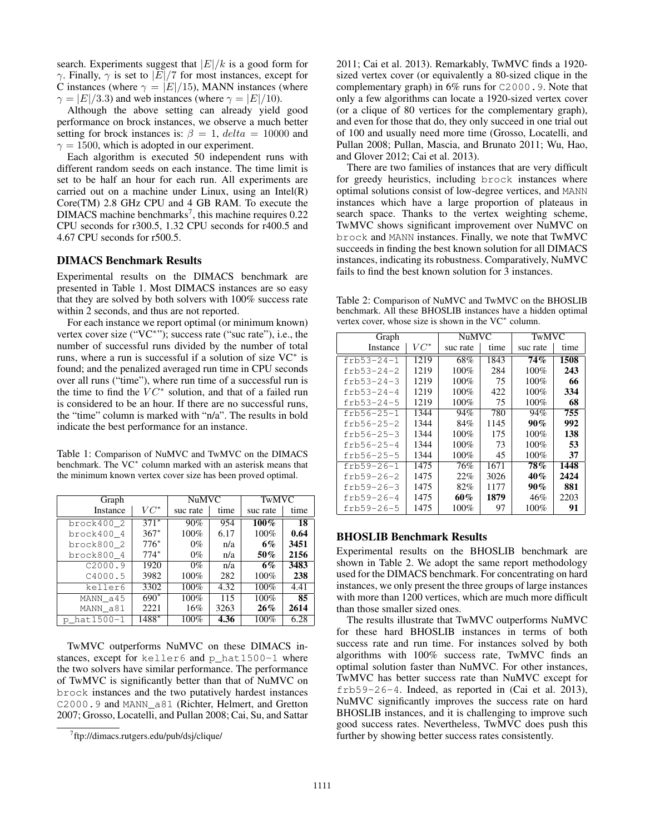search. Experiments suggest that  $|E|/k$  is a good form for  $\gamma$ . Finally,  $\gamma$  is set to  $|E|/7$  for most instances, except for C instances (where  $\gamma = |E|/15$ ), MANN instances (where  $\gamma = |E|/3.3$ ) and web instances (where  $\gamma = |E|/10$ ).

Although the above setting can already yield good performance on brock instances, we observe a much better setting for brock instances is:  $\beta = 1$ , delta = 10000 and  $\gamma = 1500$ , which is adopted in our experiment.

Each algorithm is executed 50 independent runs with different random seeds on each instance. The time limit is set to be half an hour for each run. All experiments are carried out on a machine under Linux, using an Intel $(R)$ Core(TM) 2.8 GHz CPU and 4 GB RAM. To execute the  $DIMACS$  machine benchmarks<sup>7</sup>, this machine requires  $0.22$ CPU seconds for r300.5, 1.32 CPU seconds for r400.5 and 4.67 CPU seconds for r500.5.

# DIMACS Benchmark Results

Experimental results on the DIMACS benchmark are presented in Table 1. Most DIMACS instances are so easy that they are solved by both solvers with 100% success rate within 2 seconds, and thus are not reported.

For each instance we report optimal (or minimum known) vertex cover size ("VC<sup>\*</sup>"); success rate ("suc rate"), i.e., the number of successful runs divided by the number of total runs, where a run is successful if a solution of size VC<sup>∗</sup> is found; and the penalized averaged run time in CPU seconds over all runs ("time"), where run time of a successful run is the time to find the  $VC^*$  solution, and that of a failed run is considered to be an hour. If there are no successful runs, the "time" column is marked with "n/a". The results in bold indicate the best performance for an instance.

Table 1: Comparison of NuMVC and TwMVC on the DIMACS benchmark. The VC<sup>\*</sup> column marked with an asterisk means that the minimum known vertex cover size has been proved optimal.

| Graph        |        | <b>NuMVC</b> |      | TwMVC    |                 |
|--------------|--------|--------------|------|----------|-----------------|
| Instance     | $VC^*$ | suc rate     | time | suc rate | time            |
| brock400 2   | $371*$ | 90%          | 954  | $100\%$  | $\overline{18}$ |
| brock400 4   | $367*$ | 100%         | 6.17 | 100%     | 0.64            |
| brock800 2   | $776*$ | $0\%$        | n/a  | 6%       | 3451            |
| brock800 4   | $774*$ | $0\%$        | n/a  | 50%      | 2156            |
| C2000.9      | 1920   | $0\%$        | n/a  | 6%       | 3483            |
| C4000.5      | 3982   | 100%         | 282  | 100%     | 238             |
| keller6      | 3302   | 100%         | 4.32 | 100%     | 4.41            |
| MANN a45     | $690*$ | 100%         | 115  | 100%     | 85              |
| MANN a81     | 2221   | 16%          | 3263 | 26%      | 2614            |
| p hat 1500-1 | 1488*  | 100%         | 4.36 | 100%     | 6.28            |

TwMVC outperforms NuMVC on these DIMACS instances, except for keller6 and p\_hat1500-1 where the two solvers have similar performance. The performance of TwMVC is significantly better than that of NuMVC on brock instances and the two putatively hardest instances C2000.9 and MANN\_a81 (Richter, Helmert, and Gretton 2007; Grosso, Locatelli, and Pullan 2008; Cai, Su, and Sattar

2011; Cai et al. 2013). Remarkably, TwMVC finds a 1920 sized vertex cover (or equivalently a 80-sized clique in the complementary graph) in 6% runs for C2000.9. Note that only a few algorithms can locate a 1920-sized vertex cover (or a clique of 80 vertices for the complementary graph), and even for those that do, they only succeed in one trial out of 100 and usually need more time (Grosso, Locatelli, and Pullan 2008; Pullan, Mascia, and Brunato 2011; Wu, Hao, and Glover 2012; Cai et al. 2013).

There are two families of instances that are very difficult for greedy heuristics, including brock instances where optimal solutions consist of low-degree vertices, and MANN instances which have a large proportion of plateaus in search space. Thanks to the vertex weighting scheme, TwMVC shows significant improvement over NuMVC on brock and MANN instances. Finally, we note that TwMVC succeeds in finding the best known solution for all DIMACS instances, indicating its robustness. Comparatively, NuMVC fails to find the best known solution for 3 instances.

Table 2: Comparison of NuMVC and TwMVC on the BHOSLIB benchmark. All these BHOSLIB instances have a hidden optimal vertex cover, whose size is shown in the VC<sup>\*</sup> column.

| Graph            | <b>NuMVC</b> |          | TwMVC |          |      |
|------------------|--------------|----------|-------|----------|------|
| Instance         | $VC^*$       | suc rate | time  | suc rate | time |
| $frb53-24-1$     | 1219         | 68%      | 1843  | 74%      | 1508 |
| $frb53-24-2$     | 1219         | $100\%$  | 284   | $100\%$  | 243  |
| $frb53-24-3$     | 1219         | 100%     | 75    | 100%     | 66   |
| $frb53-24-4$     | 1219         | $100\%$  | 422   | 100%     | 334  |
| $frb53-24-5$     | 1219         | 100%     | 75    | 100%     | 68   |
| $frb56-25-1$     | 1344         | 94%      | 780   | 94%      | 755  |
| frb56-25-2       | 1344         | 84%      | 1145  | 90%      | 992  |
| $frb56 - 25 - 3$ | 1344         | 100%     | 175   | $100\%$  | 138  |
| $frb56-25-4$     | 1344         | 100%     | 73    | $100\%$  | 53   |
| $frb56 - 25 - 5$ | 1344         | 100%     | 45    | $100\%$  | 37   |
| $frb59 - 26 - 1$ | 1475         | 76%      | 1671  | 78%      | 1448 |
| $frb59-26-2$     | 1475         | 22%      | 3026  | 40%      | 2424 |
| frb59-26-3       | 1475         | 82%      | 1177  | 90%      | 881  |
| frb59-26-4       | 1475         | 60%      | 1879  | 46%      | 2203 |
| $frb59 - 26 - 5$ | 1475         | $100\%$  | 97    | $100\%$  | 91   |

### BHOSLIB Benchmark Results

Experimental results on the BHOSLIB benchmark are shown in Table 2. We adopt the same report methodology used for the DIMACS benchmark. For concentrating on hard instances, we only present the three groups of large instances with more than 1200 vertices, which are much more difficult than those smaller sized ones.

The results illustrate that TwMVC outperforms NuMVC for these hard BHOSLIB instances in terms of both success rate and run time. For instances solved by both algorithms with 100% success rate, TwMVC finds an optimal solution faster than NuMVC. For other instances, TwMVC has better success rate than NuMVC except for  $frb59-26-4$ . Indeed, as reported in (Cai et al. 2013), NuMVC significantly improves the success rate on hard BHOSLIB instances, and it is challenging to improve such good success rates. Nevertheless, TwMVC does push this further by showing better success rates consistently.

<sup>7</sup> ftp://dimacs.rutgers.edu/pub/dsj/clique/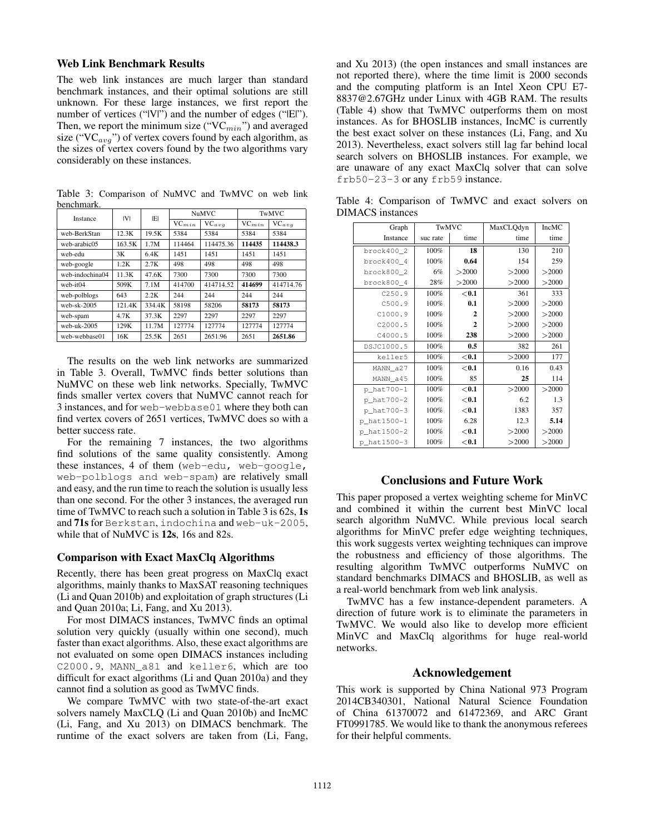### Web Link Benchmark Results

The web link instances are much larger than standard benchmark instances, and their optimal solutions are still unknown. For these large instances, we first report the number of vertices ("|V|") and the number of edges ("|E|"). Then, we report the minimum size (" $VC_{min}$ ") and averaged size ("VC $_{avg}$ ") of vertex covers found by each algorithm, as the sizes of vertex covers found by the two algorithms vary considerably on these instances.

| oviivililuus.   |        |        |            |            |              |            |  |
|-----------------|--------|--------|------------|------------|--------------|------------|--|
| Instance        | IVI    | ΙEΙ    | NuMVC      |            | <b>TwMVC</b> |            |  |
|                 |        |        | $VC_{min}$ | $VC_{avg}$ | $VC_{min}$   | $VC_{avg}$ |  |
| web-BerkStan    | 12.3K  | 19.5K  | 5384       | 5384       | 5384         | 5384       |  |
| web-arabic05    | 163.5K | 1.7M   | 114464     | 114475.36  | 114435       | 114438.3   |  |
| web-edu         | 3K     | 6.4K   | 1451       | 1451       | 1451         | 1451       |  |
| web-google      | 1.2K   | 2.7K   | 498        | 498        | 498          | 498        |  |
| web-indochina04 | 11.3K  | 47.6K  | 7300       | 7300       | 7300         | 7300       |  |
| web-it04        | 509K   | 7.1M   | 414700     | 414714.52  | 414699       | 414714.76  |  |
| web-polblogs    | 643    | 2.2K   | 244        | 244        | 244          | 244        |  |
| web-sk- $2005$  | 121.4K | 334.4K | 58198      | 58206      | 58173        | 58173      |  |
| web-spam        | 4.7K   | 37.3K  | 2297       | 2297       | 2297         | 2297       |  |
| web- $uk-2005$  | 129K   | 11.7M  | 127774     | 127774     | 127774       | 127774     |  |
| web-webbase01   | 16K    | 25.5K  | 2651       | 2651.96    | 2651         | 2651.86    |  |

Table 3: Comparison of NuMVC and TwMVC on web link benchmark.

The results on the web link networks are summarized in Table 3. Overall, TwMVC finds better solutions than NuMVC on these web link networks. Specially, TwMVC finds smaller vertex covers that NuMVC cannot reach for 3 instances, and for web-webbase01 where they both can find vertex covers of 2651 vertices, TwMVC does so with a better success rate.

For the remaining 7 instances, the two algorithms find solutions of the same quality consistently. Among these instances, 4 of them (web-edu, web-google, web-polblogs and web-spam) are relatively small and easy, and the run time to reach the solution is usually less than one second. For the other 3 instances, the averaged run time of TwMVC to reach such a solution in Table 3 is 62s, 1s and 71s for Berkstan, indochina and web-uk-2005, while that of NuMVC is 12s, 16s and 82s.

#### Comparison with Exact MaxClq Algorithms

Recently, there has been great progress on MaxClq exact algorithms, mainly thanks to MaxSAT reasoning techniques (Li and Quan 2010b) and exploitation of graph structures (Li and Quan 2010a; Li, Fang, and Xu 2013).

For most DIMACS instances, TwMVC finds an optimal solution very quickly (usually within one second), much faster than exact algorithms. Also, these exact algorithms are not evaluated on some open DIMACS instances including C2000.9, MANN\_a81 and keller6, which are too difficult for exact algorithms (Li and Quan 2010a) and they cannot find a solution as good as TwMVC finds.

We compare TwMVC with two state-of-the-art exact solvers namely MaxCLQ (Li and Quan 2010b) and IncMC (Li, Fang, and Xu 2013) on DIMACS benchmark. The runtime of the exact solvers are taken from (Li, Fang,

and Xu 2013) (the open instances and small instances are not reported there), where the time limit is 2000 seconds and the computing platform is an Intel Xeon CPU E7- 8837@2.67GHz under Linux with 4GB RAM. The results (Table 4) show that TwMVC outperforms them on most instances. As for BHOSLIB instances, IncMC is currently the best exact solver on these instances (Li, Fang, and Xu 2013). Nevertheless, exact solvers still lag far behind local search solvers on BHOSLIB instances. For example, we are unaware of any exact MaxClq solver that can solve frb50-23-3 or any frb59 instance.

Table 4: Comparison of TwMVC and exact solvers on DIMACS instances

| Graph       | TwMVC    |              | MaxCLQdyn | <b>IncMC</b> |
|-------------|----------|--------------|-----------|--------------|
| Instance    | suc rate | time         | time      | time         |
| brock400 2  | 100%     | 18           | 130       | 210          |
| brock400_4  | 100%     | 0.64         | 154       | 259          |
| brock800 2  | 6%       | >2000        | >2000     | >2000        |
| brock800 4  | 28%      | >2000        | >2000     | >2000        |
| C250.9      | 100%     | < 0.1        | 361       | 333          |
| C500.9      | 100%     | 0.1          | >2000     | >2000        |
| C1000.9     | 100%     | $\mathbf{2}$ | >2000     | >2000        |
| C2000.5     | 100%     | $\mathbf{2}$ | >2000     | >2000        |
| C4000.5     | 100%     | 238          | >2000     | >2000        |
| DSJC1000.5  | 100%     | 0.5          | 382       | 261          |
| keller5     | 100%     | $<$ 0.1      | >2000     | 177          |
| MANN a27    | 100%     | < 0.1        | 0.16      | 0.43         |
| MANN_a45    | 100%     | 85           | 25        | 114          |
| p_hat700-1  | 100%     | < 0.1        | >2000     | >2000        |
| p_hat700-2  | 100%     | $<$ 0.1      | 6.2       | 1.3          |
| p_hat700-3  | 100%     | $<$ 0.1      | 1383      | 357          |
| p_hat1500-1 | 100%     | 6.28         | 12.3      | 5.14         |
| p_hat1500-2 | 100%     | $<$ 0.1      | >2000     | >2000        |
| p_hat1500-3 | 100%     | $<$ 0.1      | >2000     | >2000        |

# Conclusions and Future Work

This paper proposed a vertex weighting scheme for MinVC and combined it within the current best MinVC local search algorithm NuMVC. While previous local search algorithms for MinVC prefer edge weighting techniques, this work suggests vertex weighting techniques can improve the robustness and efficiency of those algorithms. The resulting algorithm TwMVC outperforms NuMVC on standard benchmarks DIMACS and BHOSLIB, as well as a real-world benchmark from web link analysis.

TwMVC has a few instance-dependent parameters. A direction of future work is to eliminate the parameters in TwMVC. We would also like to develop more efficient MinVC and MaxClq algorithms for huge real-world networks.

### Acknowledgement

This work is supported by China National 973 Program 2014CB340301, National Natural Science Foundation of China 61370072 and 61472369, and ARC Grant FT0991785. We would like to thank the anonymous referees for their helpful comments.